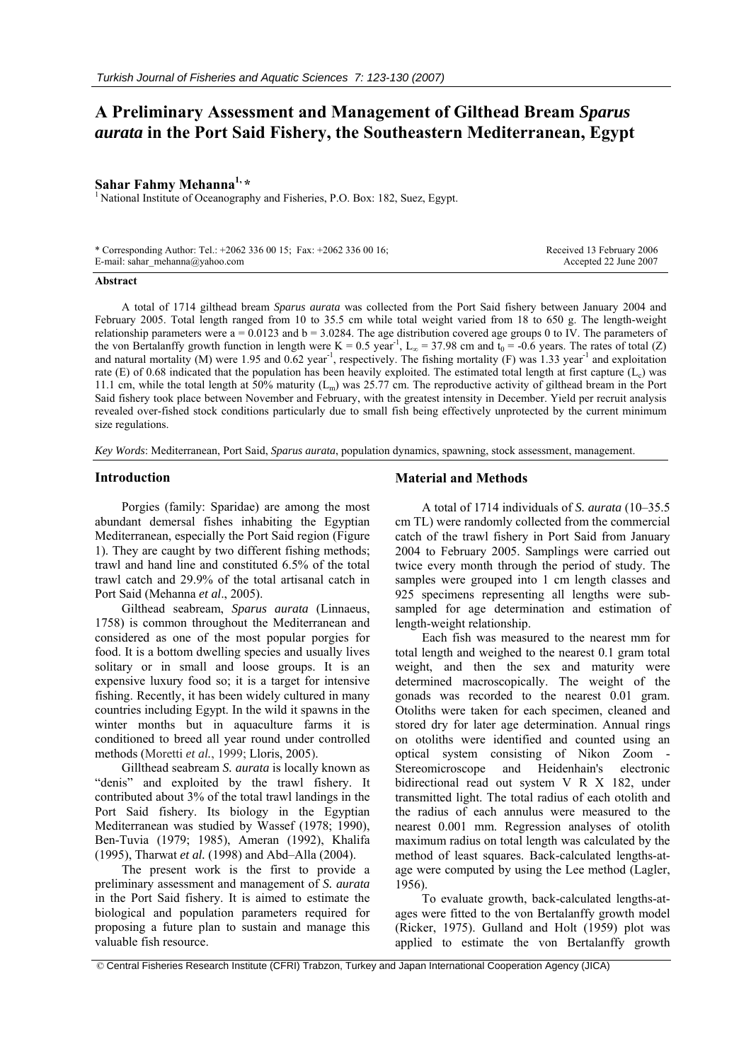# **A Preliminary Assessment and Management of Gilthead Bream** *Sparus aurata* **in the Port Said Fishery, the Southeastern Mediterranean, Egypt**

**Sahar Fahmy Mehanna<sup>1, \*</sup>**<br><sup>1</sup> National Institute of Oceanography and Fisheries, P.O. Box: 182, Suez, Egypt.

| * Corresponding Author: Tel.: $+20623360015$ ; Fax: $+20623360016$ ; | Received 13 February 2006 |
|----------------------------------------------------------------------|---------------------------|
| E-mail: sahar mehanna@yahoo.com                                      | Accepted 22 June 2007     |

#### **Abstract**

A total of 1714 gilthead bream *Sparus aurata* was collected from the Port Said fishery between January 2004 and February 2005. Total length ranged from 10 to 35.5 cm while total weight varied from 18 to 650 g. The length-weight relationship parameters were  $a = 0.0123$  and  $b = 3.0284$ . The age distribution covered age groups 0 to IV. The parameters of the von Bertalanffy growth function in length were K = 0.5 year<sup>-1</sup>, L<sub>∞</sub> = 37.98 cm and  $t_0$  = -0.6 years. The rates of total (Z) and natural mortality (M) were 1.95 and 0.62 year<sup>-1</sup>, respectively. The fishing mortality (F) was 1.33 year<sup>-1</sup> and exploitation rate (E) of 0.68 indicated that the population has been heavily exploited. The estimated total length at first capture  $(L_c)$  was 11.1 cm, while the total length at 50% maturity  $(L_m)$  was 25.77 cm. The reproductive activity of gilthead bream in the Port Said fishery took place between November and February, with the greatest intensity in December. Yield per recruit analysis revealed over-fished stock conditions particularly due to small fish being effectively unprotected by the current minimum size regulations.

*Key Words*: Mediterranean, Port Said, *Sparus aurata*, population dynamics, spawning, stock assessment, management.

#### **Introduction**

Porgies (family: Sparidae) are among the most abundant demersal fishes inhabiting the Egyptian Mediterranean, especially the Port Said region (Figure 1). They are caught by two different fishing methods; trawl and hand line and constituted 6.5% of the total trawl catch and 29.9% of the total artisanal catch in Port Said (Mehanna *et al*., 2005).

Gilthead seabream, *Sparus aurata* (Linnaeus, 1758) is common throughout the Mediterranean and considered as one of the most popular porgies for food. It is a bottom dwelling species and usually lives solitary or in small and loose groups. It is an expensive luxury food so; it is a target for intensive fishing. Recently, it has been widely cultured in many countries including Egypt. In the wild it spawns in the winter months but in aquaculture farms it is conditioned to breed all year round under controlled methods (Moretti *et al.*, 1999; Lloris, 2005).

Gillthead seabream *S. aurata* is locally known as "denis" and exploited by the trawl fishery. It contributed about 3% of the total trawl landings in the Port Said fishery. Its biology in the Egyptian Mediterranean was studied by Wassef (1978; 1990), Ben-Tuvia (1979; 1985), Ameran (1992), Khalifa (1995), Tharwat *et al.* (1998) and Abd–Alla (2004).

The present work is the first to provide a preliminary assessment and management of *S. aurata* in the Port Said fishery. It is aimed to estimate the biological and population parameters required for proposing a future plan to sustain and manage this valuable fish resource.

# **Material and Methods**

A total of 1714 individuals of *S. aurata* (10–35.5 cm TL) were randomly collected from the commercial catch of the trawl fishery in Port Said from January 2004 to February 2005. Samplings were carried out twice every month through the period of study. The samples were grouped into 1 cm length classes and 925 specimens representing all lengths were subsampled for age determination and estimation of length-weight relationship.

Each fish was measured to the nearest mm for total length and weighed to the nearest 0.1 gram total weight, and then the sex and maturity were determined macroscopically. The weight of the gonads was recorded to the nearest 0.01 gram. Otoliths were taken for each specimen, cleaned and stored dry for later age determination. Annual rings on otoliths were identified and counted using an optical system consisting of Nikon Zoom - Stereomicroscope and Heidenhain's electronic bidirectional read out system V R X 182, under transmitted light. The total radius of each otolith and the radius of each annulus were measured to the nearest 0.001 mm. Regression analyses of otolith maximum radius on total length was calculated by the method of least squares. Back-calculated lengths-atage were computed by using the Lee method (Lagler, 1956).

To evaluate growth, back-calculated lengths-atages were fitted to the von Bertalanffy growth model (Ricker, 1975). Gulland and Holt (1959) plot was applied to estimate the von Bertalanffy growth

© Central Fisheries Research Institute (CFRI) Trabzon, Turkey and Japan International Cooperation Agency (JICA)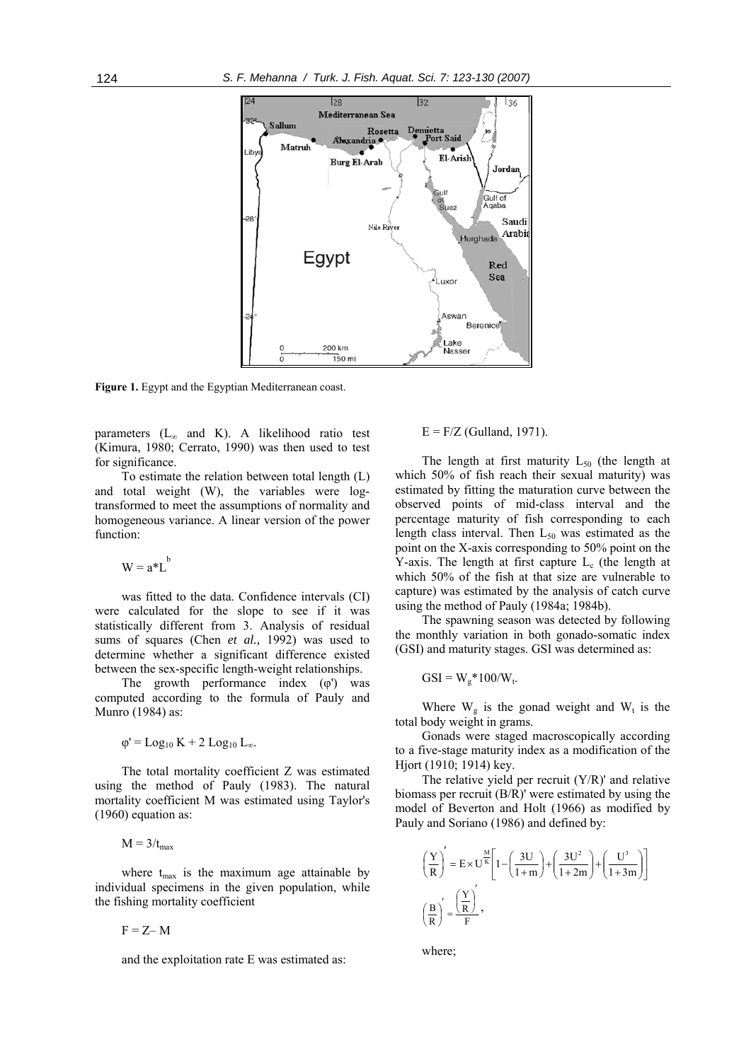

**Figure 1.** Egypt and the Egyptian Mediterranean coast.

parameters ( $L_{\infty}$  and K). A likelihood ratio test (Kimura, 1980; Cerrato, 1990) was then used to test for significance.

To estimate the relation between total length (L) and total weight (W), the variables were logtransformed to meet the assumptions of normality and homogeneous variance. A linear version of the power function:

$$
W = a^*L^b
$$

was fitted to the data. Confidence intervals (CI) were calculated for the slope to see if it was statistically different from 3. Analysis of residual sums of squares (Chen *et al.,* 1992) was used to determine whether a significant difference existed between the sex-specific length-weight relationships.

The growth performance index  $(\varphi')$  was computed according to the formula of Pauly and Munro (1984) as:

$$
\varphi' = Log_{10} K + 2 Log_{10} L_{\infty}.
$$

The total mortality coefficient Z was estimated using the method of Pauly (1983). The natural mortality coefficient M was estimated using Taylor's (1960) equation as:

 $M = 3/t_{max}$ 

where  $t_{\text{max}}$  is the maximum age attainable by individual specimens in the given population, while the fishing mortality coefficient

$$
F = Z - M
$$

and the exploitation rate E was estimated as:

 $E = F/Z$  (Gulland, 1971).

The length at first maturity  $L_{50}$  (the length at which 50% of fish reach their sexual maturity) was estimated by fitting the maturation curve between the observed points of mid-class interval and the percentage maturity of fish corresponding to each length class interval. Then  $L_{50}$  was estimated as the point on the X-axis corresponding to 50% point on the Y-axis. The length at first capture  $L<sub>c</sub>$  (the length at which 50% of the fish at that size are vulnerable to capture) was estimated by the analysis of catch curve using the method of Pauly (1984a; 1984b).

The spawning season was detected by following the monthly variation in both gonado-somatic index (GSI) and maturity stages. GSI was determined as:

$$
GSI = W_g * 100/W_t.
$$

Where  $W_g$  is the gonad weight and  $W_t$  is the total body weight in grams.

Gonads were staged macroscopically according to a five-stage maturity index as a modification of the Hjort (1910; 1914) key.

The relative yield per recruit  $(Y/R)$ ' and relative biomass per recruit (B/R)' were estimated by using the model of Beverton and Holt (1966) as modified by Pauly and Soriano (1986) and defined by:

$$
\left(\frac{Y}{R}\right)' = E \times U^{\frac{M}{K}} \left[1 - \left(\frac{3U}{1+m}\right) + \left(\frac{3U^2}{1+2m}\right) + \left(\frac{U^3}{1+3m}\right)\right]
$$
\n
$$
\left(\frac{B}{R}\right)' = \frac{\left(\frac{Y}{R}\right)'}{F},
$$

where;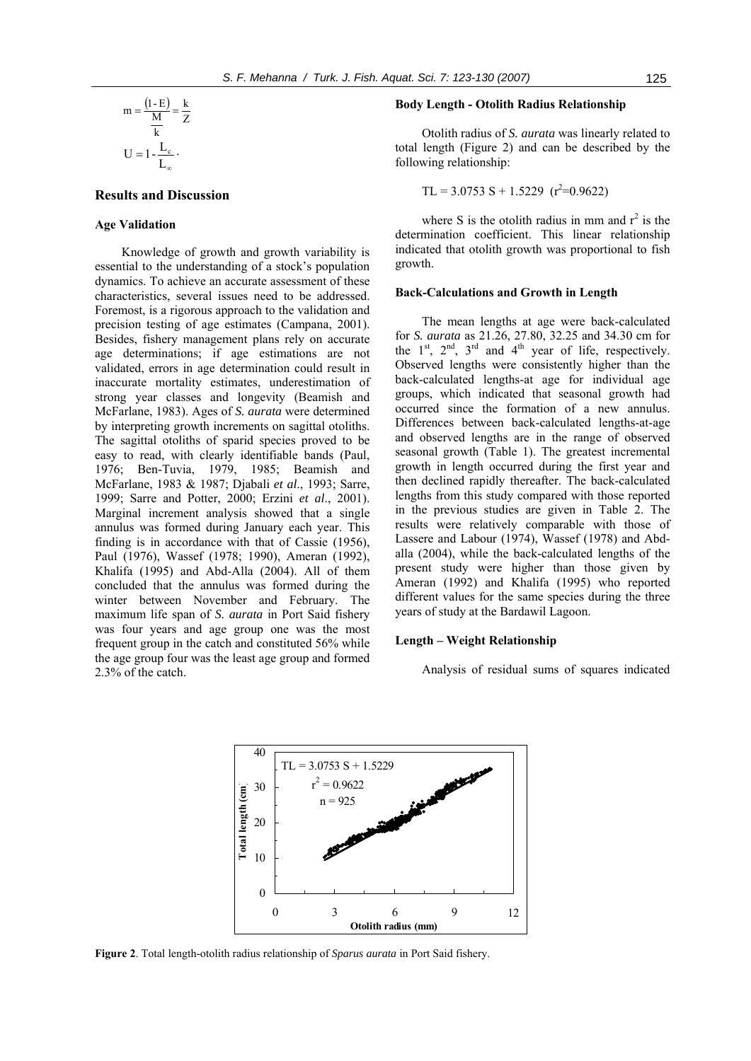$$
m = \frac{(1 - E)}{\frac{M}{k}} = \frac{k}{Z}
$$

$$
U = 1 - \frac{L_c}{L_{\infty}}.
$$

# **Results and Discussion**

#### **Age Validation**

Knowledge of growth and growth variability is essential to the understanding of a stock's population dynamics. To achieve an accurate assessment of these characteristics, several issues need to be addressed. Foremost, is a rigorous approach to the validation and precision testing of age estimates (Campana, 2001). Besides, fishery management plans rely on accurate age determinations; if age estimations are not validated, errors in age determination could result in inaccurate mortality estimates, underestimation of strong year classes and longevity (Beamish and McFarlane, 1983). Ages of *S. aurata* were determined by interpreting growth increments on sagittal otoliths. The sagittal otoliths of sparid species proved to be easy to read, with clearly identifiable bands (Paul, 1976; Ben-Tuvia, 1979, 1985; Beamish and McFarlane, 1983 & 1987; Djabali *et al*., 1993; Sarre, 1999; Sarre and Potter, 2000; Erzini *et al*., 2001). Marginal increment analysis showed that a single annulus was formed during January each year. This finding is in accordance with that of Cassie (1956), Paul (1976), Wassef (1978; 1990), Ameran (1992), Khalifa (1995) and Abd-Alla (2004). All of them concluded that the annulus was formed during the winter between November and February. The maximum life span of *S. aurata* in Port Said fishery was four years and age group one was the most frequent group in the catch and constituted 56% while the age group four was the least age group and formed 2.3% of the catch.

# **Body Length - Otolith Radius Relationship**

Otolith radius of *S. aurata* was linearly related to total length (Figure 2) and can be described by the following relationship:

$$
TL = 3.0753 S + 1.5229 (r2=0.9622)
$$

where S is the otolith radius in mm and  $r^2$  is the determination coefficient. This linear relationship indicated that otolith growth was proportional to fish growth.

#### **Back-Calculations and Growth in Length**

The mean lengths at age were back-calculated for *S. aurata* as 21.26, 27.80, 32.25 and 34.30 cm for the  $1<sup>st</sup>$ ,  $2<sup>nd</sup>$ ,  $3<sup>rd</sup>$  and  $4<sup>th</sup>$  year of life, respectively. Observed lengths were consistently higher than the back-calculated lengths-at age for individual age groups, which indicated that seasonal growth had occurred since the formation of a new annulus. Differences between back-calculated lengths-at-age and observed lengths are in the range of observed seasonal growth (Table 1). The greatest incremental growth in length occurred during the first year and then declined rapidly thereafter. The back-calculated lengths from this study compared with those reported in the previous studies are given in Table 2. The results were relatively comparable with those of Lassere and Labour (1974), Wassef (1978) and Abdalla (2004), while the back-calculated lengths of the present study were higher than those given by Ameran (1992) and Khalifa (1995) who reported different values for the same species during the three years of study at the Bardawil Lagoon.

# **Length – Weight Relationship**

Analysis of residual sums of squares indicated



**Figure 2**. Total length-otolith radius relationship of *Sparus aurata* in Port Said fishery.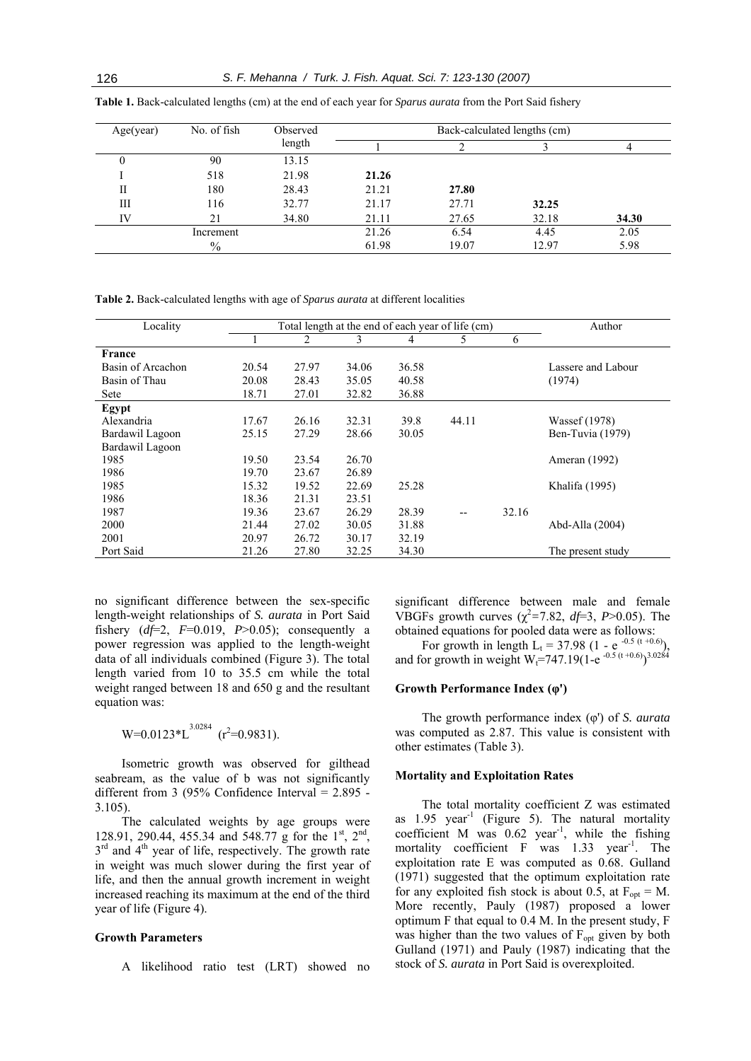| Age(year) | No. of fish   | Observed | Back-calculated lengths (cm) |       |       |       |
|-----------|---------------|----------|------------------------------|-------|-------|-------|
|           |               | length   |                              |       |       | 4     |
|           | 90            | 13.15    |                              |       |       |       |
|           | 518           | 21.98    | 21.26                        |       |       |       |
| П         | 180           | 28.43    | 21.21                        | 27.80 |       |       |
| Ш         | 116           | 32.77    | 21.17                        | 27.71 | 32.25 |       |
| IV        | 21            | 34.80    | 21.11                        | 27.65 | 32.18 | 34.30 |
|           | Increment     |          | 21.26                        | 6.54  | 4.45  | 2.05  |
|           | $\frac{0}{0}$ |          | 61.98                        | 19.07 | 12.97 | 5.98  |

**Table 1.** Back-calculated lengths (cm) at the end of each year for *Sparus aurata* from the Port Said fishery

**Table 2.** Back-calculated lengths with age of *Sparus aurata* at different localities

| Locality          | Total length at the end of each year of life (cm) |       |       |       |       | Author |                    |
|-------------------|---------------------------------------------------|-------|-------|-------|-------|--------|--------------------|
|                   |                                                   | 2     | 3     | 4     | 5     | 6      |                    |
| France            |                                                   |       |       |       |       |        |                    |
| Basin of Arcachon | 20.54                                             | 27.97 | 34.06 | 36.58 |       |        | Lassere and Labour |
| Basin of Thau     | 20.08                                             | 28.43 | 35.05 | 40.58 |       |        | (1974)             |
| Sete              | 18.71                                             | 27.01 | 32.82 | 36.88 |       |        |                    |
| Egypt             |                                                   |       |       |       |       |        |                    |
| Alexandria        | 17.67                                             | 26.16 | 32.31 | 39.8  | 44.11 |        | Wassef (1978)      |
| Bardawil Lagoon   | 25.15                                             | 27.29 | 28.66 | 30.05 |       |        | Ben-Tuvia (1979)   |
| Bardawil Lagoon   |                                                   |       |       |       |       |        |                    |
| 1985              | 19.50                                             | 23.54 | 26.70 |       |       |        | Ameran (1992)      |
| 1986              | 19.70                                             | 23.67 | 26.89 |       |       |        |                    |
| 1985              | 15.32                                             | 19.52 | 22.69 | 25.28 |       |        | Khalifa (1995)     |
| 1986              | 18.36                                             | 21.31 | 23.51 |       |       |        |                    |
| 1987              | 19.36                                             | 23.67 | 26.29 | 28.39 |       | 32.16  |                    |
| 2000              | 21.44                                             | 27.02 | 30.05 | 31.88 |       |        | Abd-Alla (2004)    |
| 2001              | 20.97                                             | 26.72 | 30.17 | 32.19 |       |        |                    |
| Port Said         | 21.26                                             | 27.80 | 32.25 | 34.30 |       |        | The present study  |

no s ignificant difference between the sex-specific fishery  $(df=2, F=0.019, P>0.05)$ ; consequently a length-weight relationships of *S. aurata* in Port Said power regression was applied to the length-weight data of all individuals combined (Figure 3). The total length varied from 10 to 35.5 cm while the total weight ranged between 18 and 650 g and the resultant equation was:

 $W=0.0123 \times L^{3.0284}$  ( $r^2=0.9831$ ).

Isometric growth was observed for gilthead seabream, as the value of b was not significantly different from 3 (95% Confidence Interval =  $2.895$  -3.105).

The calculated weights by age groups were 128.91, 290.44, 455.34 and 548.77 g for the  $1<sup>st</sup>$ ,  $2<sup>nd</sup>$ ,  $3<sup>rd</sup>$  and  $4<sup>th</sup>$  year of life, respectively. The growth rate in weight was much slower during the first year of life, and then the annual growth increment in weight increased reaching its maximum at the end of the third year of life (Figure 4).

# **Growth Parameters**

A likelihood ratio test (LRT) showed no

significant difference between male and female VBGFs growth curves  $(\chi^2 = 7.82, df = 3, P > 0.05)$ . The obtained equations for pooled data were as follows:

For growth in length  $L_t = 37.98$  (1 - e<sup>-0.5 (t+0.6)</sup>), and for growth in weight W<sub>t</sub>=747.19(1-e<sup>-0.5 (t+0.6)</sup>)<sup>3.0284</sup>

## **Growth Performance Index (φ')**

The growth performance index (φ') of *S. aurata* was computed as 2.87. This value is consistent with other estimates (Table 3).

#### **Mortality and Exploitation Rates**

The total mortality coefficient Z was estimated as 1.95 year<sup>-1</sup> (Figure 5). The natural mortality coefficient M was  $0.62$  year<sup>-1</sup>, while the fishing mortality coefficient F was 1.33 year<sup>-1</sup>. The exploitation rate E was computed as 0.68. Gulland (1971) suggested that the optimum exploitation rate for any exploited fish stock is about 0.5, at  $F_{opt} = M$ . More recently, Pauly (1987) proposed a lower optimum F that equal to 0.4 M. In the present study, F was higher than the two values of  $F_{opt}$  given by both Gulland (1971) and Pauly (1987) indicating that the stock of *S. aurata* in Port Said is overexploited.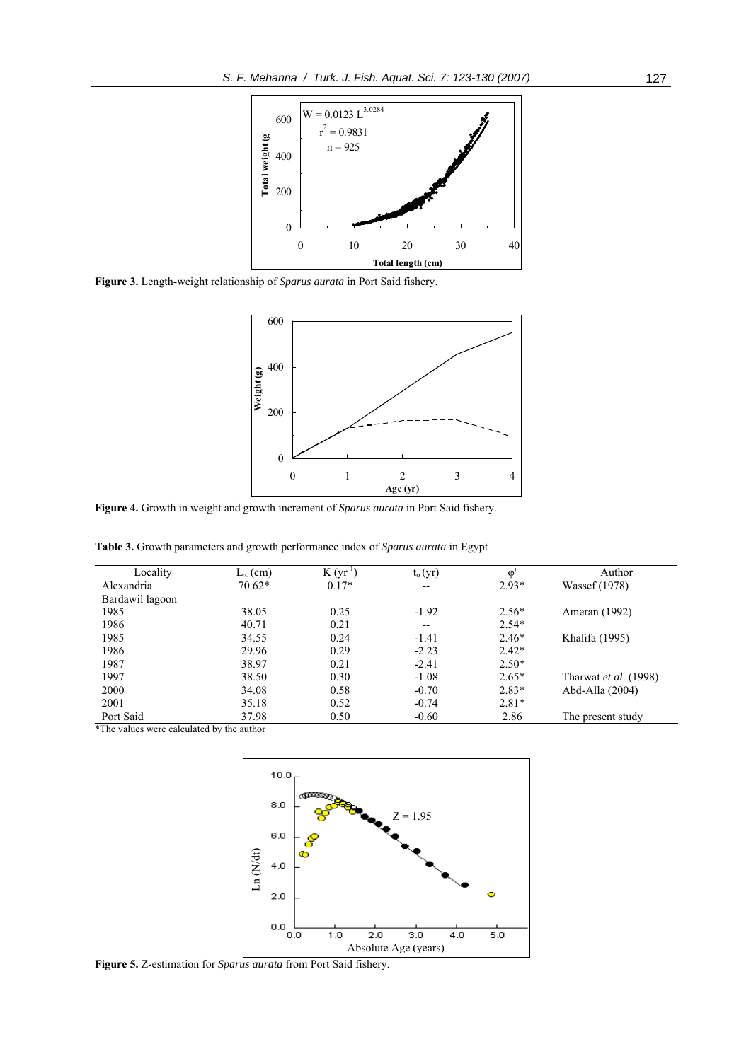

**Figure 3.** Length-weight relationship of *Sparus aurata* in Port Said fishery.



**Figure 4.** Growth in weight and growth increment of *Sparus aurata* in Port Said fishery.

**Table 3.** Growth parameters and growth performance index of *Sparus aurata* in Egypt

| Locality        | $L_{\infty}$ (cm) | $K(yr^{-1})$ | $t_o(yr)$                | $\Omega$ | Author                |
|-----------------|-------------------|--------------|--------------------------|----------|-----------------------|
| Alexandria      | $70.62*$          | $0.17*$      | $- -$                    | $2.93*$  | Wassef (1978)         |
| Bardawil lagoon |                   |              |                          |          |                       |
| 1985            | 38.05             | 0.25         | $-1.92$                  | $2.56*$  | Ameran (1992)         |
| 1986            | 40.71             | 0.21         | $\overline{\phantom{a}}$ | $2.54*$  |                       |
| 1985            | 34.55             | 0.24         | $-1.41$                  | $2.46*$  | Khalifa (1995)        |
| 1986            | 29.96             | 0.29         | $-2.23$                  | $2.42*$  |                       |
| 1987            | 38.97             | 0.21         | $-2.41$                  | $2.50*$  |                       |
| 1997            | 38.50             | 0.30         | $-1.08$                  | $2.65*$  | Tharwat et al. (1998) |
| 2000            | 34.08             | 0.58         | $-0.70$                  | $2.83*$  | Abd-Alla (2004)       |
| 2001            | 35.18             | 0.52         | $-0.74$                  | $2.81*$  |                       |
| Port Said       | 37.98             | 0.50         | $-0.60$                  | 2.86     | The present study     |

\*The values were calculated by the author



**Figure 5.** Z-estimation for *Sparus aurata* from Port Said fishery.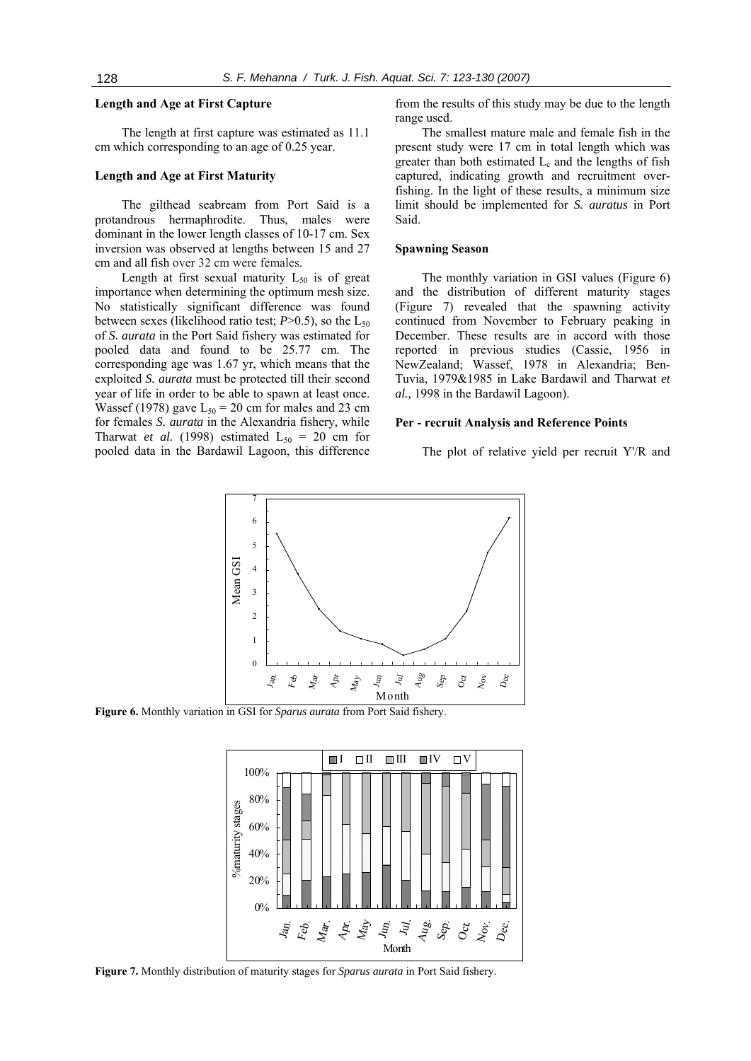# **Length and Age at First Capture**

The length at first capture was estimated as 11.1 cm which corresponding to an age of 0.25 year.

# **Length and Age at First Maturity**

The gilthead seabream from Port Said is a protandrous hermaphrodite. Thus, males were dominant in the lower length classes of 10-17 cm. Sex inversion was observed at lengths between 15 and 27 cm and all fish over 32 cm were females.

Length at first sexual maturity  $L_{50}$  is of great importance when determining the optimum mesh size. No statistically significant difference was found between sexes (likelihood ratio test;  $P > 0.5$ ), so the  $L_{50}$ of *S. aurata* in the Port Said fishery was estimated for pooled data and found to be 25.77 cm. The corresponding age was 1.67 yr, which means that the exploited *S. aurata* must be protected till their second year of life in order to be able to spawn at least once. Wassef (1978) gave  $L_{50} = 20$  cm for males and 23 cm for females *S. aurata* in the Alexandria fishery, while Tharwat *et al.* (1998) estimated  $L_{50} = 20$  cm for pooled data in the Bardawil Lagoon, this difference from the results of this study may be due to the length range used.

The smallest mature male and female fish in the present study were 17 cm in total length which was greater than both estimated  $L_c$  and the lengths of fish captured, indicating growth and recruitment overfishing. In the light of these results, a minimum size limit should be implemented for *S. auratus* in Port Said.

#### **Spawning Season**

The monthly variation in GSI values (Figure 6) and the distribution of different maturity stages (Figure 7) revealed that the spawning activity continued from November to February peaking in December. These results are in accord with those reported in previous studies (Cassie, 1956 in NewZealand; Wassef, 1978 in Alexandria; Ben-Tuvia, 1979&1985 in Lake Bardawil and Tharwat *et al.,* 1998 in the Bardawil Lagoon).

#### **Per - recruit Analysis and Reference Points**

The plot of relative yield per recruit Y'/R and



**Figure 6.** Monthly variation in GSI for *Sparus aurata* from Port Said fishery.



**Figure 7.** Monthly distribution of maturity stages for *Sparus aurata* in Port Said fishery.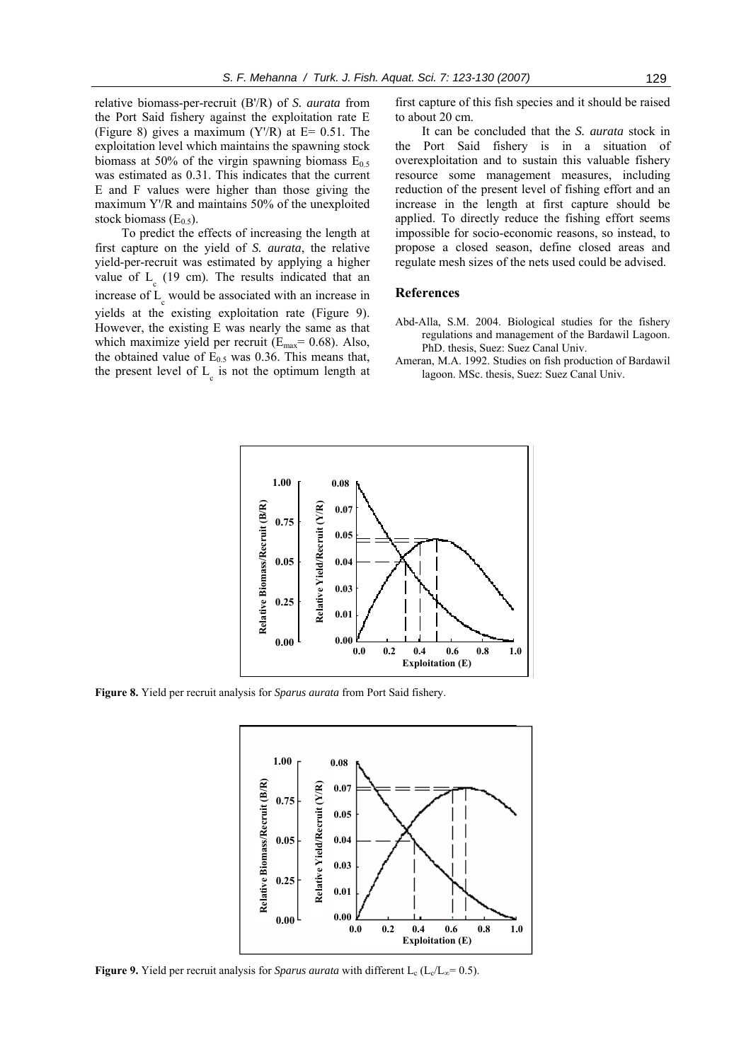relative biomass-per-recruit (B'/R) of *S. aurata* from the Port Said fishery against the exploitation rate E (Figure 8) gives a maximum (Y'/R) at E= 0.51*.* The exploitation level which maintains the spawning stock biomass at 50% of the virgin spawning biomass  $E_{0.5}$ was estimated as 0.31. This indicates that the current E and F values were higher than those giving the maximum Y'/R and maintains 50% of the unexploited

To predict the effects of increasing the length at first capture on the yield of *S. aurata*, the relative yield-per-recruit was estimated by applying a higher value of  $L<sub>g</sub>$  (19 cm). The results indicated that an increase of  $L_c$  would be associated with an increase in yields at the existing exploitation rate (Figure 9). However, the existing E was nearly the same as that which maximize yield per recruit ( $E_{\text{max}}$ = 0.68). Also, the obtained value of  $E_{0.5}$  was 0.36. This means that, the present level of  $L_c$  is not the optimum length at

stock biomass  $(E_0, \xi)$ .

first capture of this fish species and it should be raised to about 20 cm.

It can be concluded that the *S. aurata* stock in the Port Said fishery is in a situation of overexploitation and to sustain this valuable fishery resource some management measures, including reduction of the present level of fishing effort and an increase in the length at first capture should be applied. To directly reduce the fishing effort seems impossible for socio-economic reasons, so instead, to propose a closed season, define closed areas and regulate mesh sizes of the nets used could be advised.

#### **References**

- Abd-Alla, S.M. 2004. Biological studies for the fishery regulations and management of the Bardawil Lagoon. PhD. thesis, Suez: Suez Canal Univ.
- Ameran, M.A. 1992. Studies on fish production of Bardawil lagoon. MSc. thesis, Suez: Suez Canal Univ.



**Figure 8.** Yield per recruit analysis for *Sparus aurata* from Port Said fishery.



**Figure 9.** Yield per recruit analysis for *Sparus aurata* with different L<sub>c</sub> (L<sub>c</sub>/L<sub>∞</sub>= 0.5).